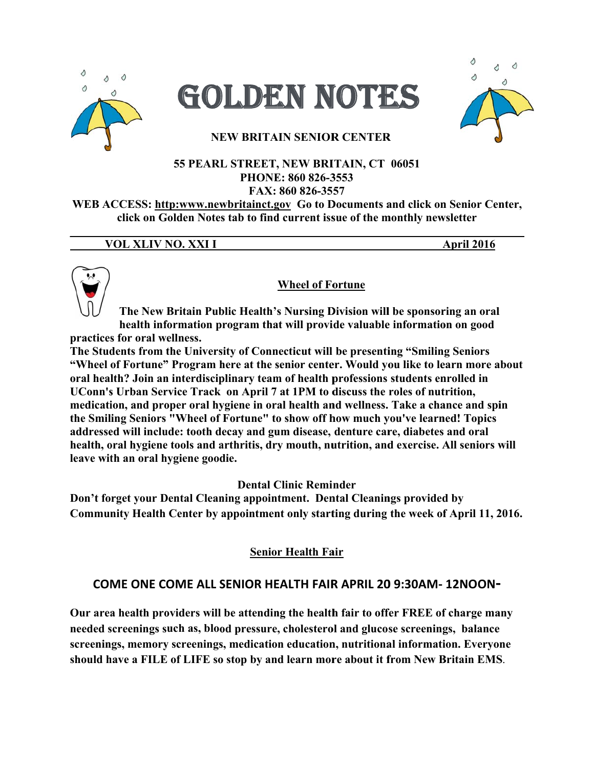





# **NEW BRITAIN SENIOR CENTER**

### 55 PEARL STREET, NEW BRITAIN, CT 06051 PHONE: 860 826-3553 FAX: 860 826-3557

WEB ACCESS: http:www.newbritainct.gov Go to Documents and click on Senior Center, click on Golden Notes tab to find current issue of the monthly newsletter

### VOL XLIV NO. XXI I

**April 2016** 



# **Wheel of Fortune**

The New Britain Public Health's Nursing Division will be sponsoring an oral health information program that will provide valuable information on good practices for oral wellness.

The Students from the University of Connecticut will be presenting "Smiling Seniors" "Wheel of Fortune" Program here at the senior center. Would you like to learn more about oral health? Join an interdisciplinary team of health professions students enrolled in UConn's Urban Service Track on April 7 at 1PM to discuss the roles of nutrition, medication, and proper oral hygiene in oral health and wellness. Take a chance and spin the Smiling Seniors "Wheel of Fortune" to show off how much you've learned! Topics addressed will include: tooth decay and gum disease, denture care, diabetes and oral health, oral hygiene tools and arthritis, dry mouth, nutrition, and exercise. All seniors will leave with an oral hygiene goodie.

**Dental Clinic Reminder** 

Don't forget your Dental Cleaning appointment. Dental Cleanings provided by Community Health Center by appointment only starting during the week of April 11, 2016.

# **Senior Health Fair**

# COME ONE COME ALL SENIOR HEALTH FAIR APRIL 20 9:30AM- 12NOON-

Our area health providers will be attending the health fair to offer FREE of charge many needed screenings such as, blood pressure, cholesterol and glucose screenings, balance screenings, memory screenings, medication education, nutritional information. Everyone should have a FILE of LIFE so stop by and learn more about it from New Britain EMS.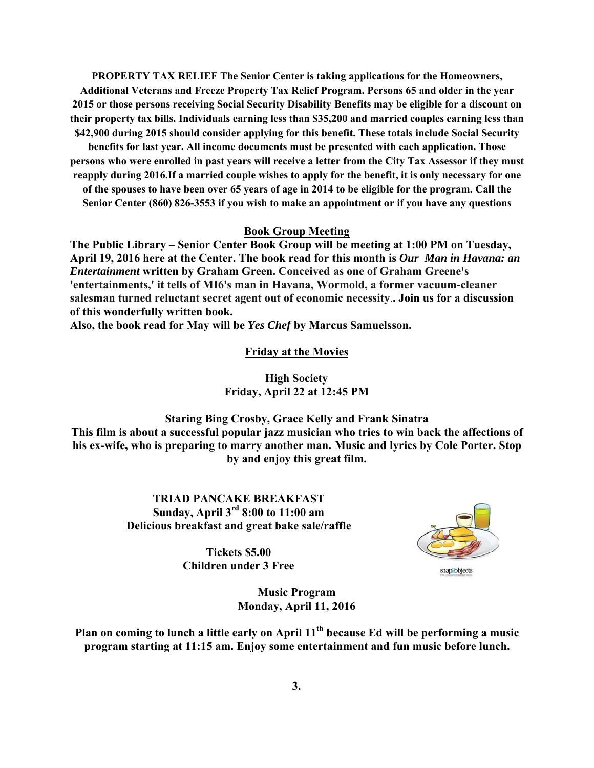**PROPERTY TAX RELIEF The Senior Center is taking applications for the Homeowners,** Additional Veterans and Freeze Property Tax Relief Program. Persons 65 and older in the year 2015 or those persons receiving Social Security Disability Benefits may be eligible for a discount on their property tax bills. Individuals earning less than \$35,200 and married couples earning less than \$42,900 during 2015 should consider applying for this benefit. These totals include Social Security

benefits for last year. All income documents must be presented with each application. Those persons who were enrolled in past years will receive a letter from the City Tax Assessor if they must reapply during 2016. If a married couple wishes to apply for the benefit, it is only necessary for one of the spouses to have been over 65 years of age in 2014 to be eligible for the program. Call the Senior Center (860) 826-3553 if you wish to make an appointment or if you have any questions

### **Book Group Meeting**

The Public Library – Senior Center Book Group will be meeting at 1:00 PM on Tuesday, April 19, 2016 here at the Center. The book read for this month is Our Man in Havana: an **Entertainment written by Graham Green. Conceived as one of Graham Greene's** 'entertainments,' it tells of MI6's man in Havana, Wormold, a former vacuum-cleaner salesman turned reluctant secret agent out of economic necessity.. Join us for a discussion of this wonderfully written book.

Also, the book read for May will be Yes Chef by Marcus Samuelsson.

**Friday at the Movies** 

# **High Society** Friday, April 22 at 12:45 PM

**Staring Bing Crosby, Grace Kelly and Frank Sinatra** This film is about a successful popular jazz musician who tries to win back the affections of his ex-wife, who is preparing to marry another man. Music and lyrics by Cole Porter. Stop by and enjoy this great film.

> **TRIAD PANCAKE BREAKFAST** Sunday, April  $3<sup>rd</sup> 8:00$  to 11:00 am Delicious breakfast and great bake sale/raffle

snap objects

Tickets \$5.00 **Children under 3 Free** 

> **Music Program Monday, April 11, 2016**

Plan on coming to lunch a little early on April 11<sup>th</sup> because Ed will be performing a music program starting at 11:15 am. Enjoy some entertainment and fun music before lunch.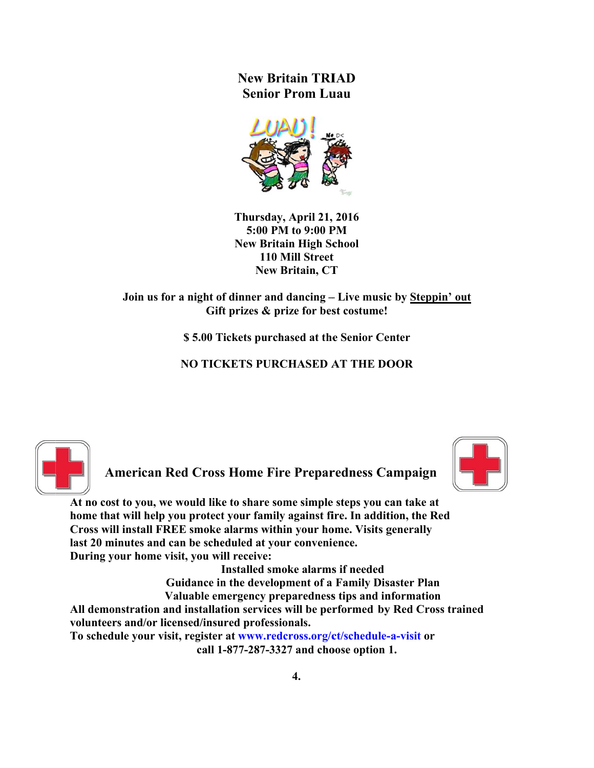**New Britain TRIAD Senior Prom Luau** 



Thursday, April 21, 2016 5:00 PM to 9:00 PM **New Britain High School** 110 Mill Street **New Britain, CT** 

Join us for a night of dinner and dancing – Live music by Steppin' out Gift prizes & prize for best costume!

\$5.00 Tickets purchased at the Senior Center

**NO TICKETS PURCHASED AT THE DOOR** 





**American Red Cross Home Fire Preparedness Campaign** 

At no cost to you, we would like to share some simple steps you can take at home that will help you protect your family against fire. In addition, the Red Cross will install FREE smoke alarms within your home. Visits generally last 20 minutes and can be scheduled at your convenience. During your home visit, you will receive:

Installed smoke alarms if needed Guidance in the development of a Family Disaster Plan Valuable emergency preparedness tips and information All demonstration and installation services will be performed by Red Cross trained volunteers and/or licensed/insured professionals. To schedule your visit, register at www.redcross.org/ct/schedule-a-visit or

call 1-877-287-3327 and choose option 1.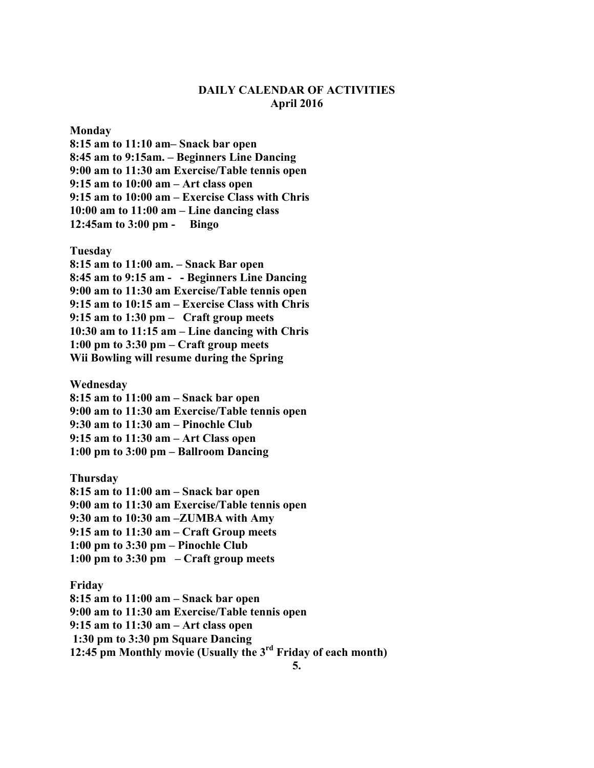# **DAILY CALENDAR OF ACTIVITIES April 2016**

#### **Monday**

**8:15 am to 11:10 am– Snack bar open 8:45 am to 9:15am. – Beginners Line Dancing 9:00 am to 11:30 am Exercise/Table tennis open 9:15 am to 10:00 am – Art class open 9:15 am to 10:00 am – Exercise Class with Chris 10:00 am to 11:00 am – Line dancing class 12:45am to 3:00 pm - Bingo** 

#### **Tuesday**

**8:15 am to 11:00 am. – Snack Bar open 8:45 am to 9:15 am - - Beginners Line Dancing 9:00 am to 11:30 am Exercise/Table tennis open 9:15 am to 10:15 am – Exercise Class with Chris 9:15 am to 1:30 pm – Craft group meets 10:30 am to 11:15 am – Line dancing with Chris 1:00 pm to 3:30 pm – Craft group meets Wii Bowling will resume during the Spring** 

**Wednesday** 

**8:15 am to 11:00 am – Snack bar open 9:00 am to 11:30 am Exercise/Table tennis open 9:30 am to 11:30 am – Pinochle Club 9:15 am to 11:30 am – Art Class open 1:00 pm to 3:00 pm – Ballroom Dancing** 

**Thursday 8:15 am to 11:00 am – Snack bar open 9:00 am to 11:30 am Exercise/Table tennis open 9:30 am to 10:30 am –ZUMBA with Amy 9:15 am to 11:30 am – Craft Group meets 1:00 pm to 3:30 pm – Pinochle Club 1:00 pm to 3:30 pm – Craft group meets** 

**Friday** 

**8:15 am to 11:00 am – Snack bar open 9:00 am to 11:30 am Exercise/Table tennis open 9:15 am to 11:30 am – Art class open 1:30 pm to 3:30 pm Square Dancing 12:45 pm Monthly movie (Usually the 3rd Friday of each month)**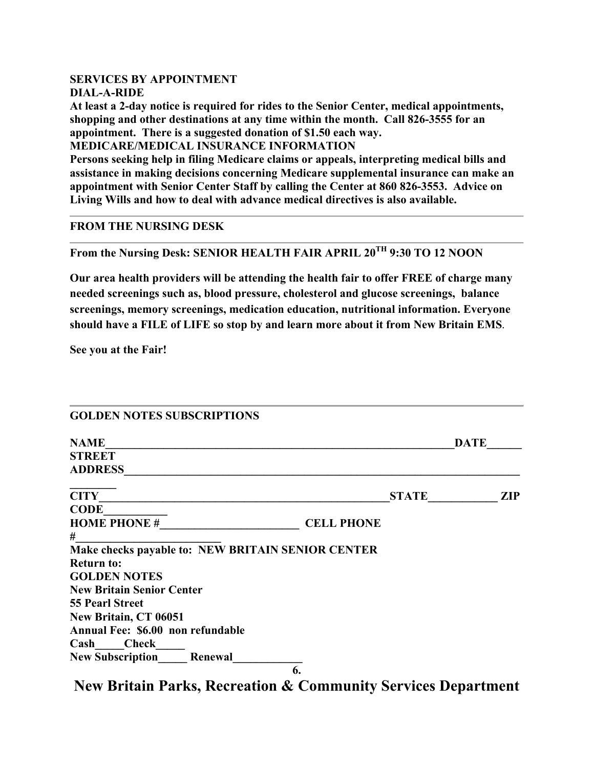# **SERVICES BY APPOINTMENT DIAL-A-RIDE**

**At least a 2-day notice is required for rides to the Senior Center, medical appointments, shopping and other destinations at any time within the month. Call 826-3555 for an appointment. There is a suggested donation of \$1.50 each way.** 

**MEDICARE/MEDICAL INSURANCE INFORMATION** 

**Persons seeking help in filing Medicare claims or appeals, interpreting medical bills and assistance in making decisions concerning Medicare supplemental insurance can make an appointment with Senior Center Staff by calling the Center at 860 826-3553. Advice on Living Wills and how to deal with advance medical directives is also available.** 

# **FROM THE NURSING DESK**

**From the Nursing Desk: SENIOR HEALTH FAIR APRIL 20TH 9:30 TO 12 NOON** 

**Our area health providers will be attending the health fair to offer FREE of charge many needed screenings such as, blood pressure, cholesterol and glucose screenings, balance screenings, memory screenings, medication education, nutritional information. Everyone should have a FILE of LIFE so stop by and learn more about it from New Britain EMS**.

**See you at the Fair!** 

| <b>GOLDEN NOTES SUBSCRIPTIONS</b>                 |                   |             |
|---------------------------------------------------|-------------------|-------------|
| <b>NAME</b>                                       |                   | <b>DATE</b> |
| <b>STREET</b>                                     |                   |             |
| <b>ADDRESS</b>                                    |                   |             |
| <b>CITY</b>                                       | <b>STATE</b>      | <b>ZIP</b>  |
| <b>CODE</b>                                       |                   |             |
| <b>HOME PHONE #</b>                               | <b>CELL PHONE</b> |             |
| #                                                 |                   |             |
| Make checks payable to: NEW BRITAIN SENIOR CENTER |                   |             |
| <b>Return to:</b>                                 |                   |             |
| <b>GOLDEN NOTES</b>                               |                   |             |
| <b>New Britain Senior Center</b>                  |                   |             |
| <b>55 Pearl Street</b>                            |                   |             |
| New Britain, CT 06051                             |                   |             |
| Annual Fee: \$6.00 non refundable                 |                   |             |
| Cash Check                                        |                   |             |
| <b>New Subscription</b><br>Renewal                |                   |             |
|                                                   | 6.                |             |

**New Britain Parks, Recreation & Community Services Department**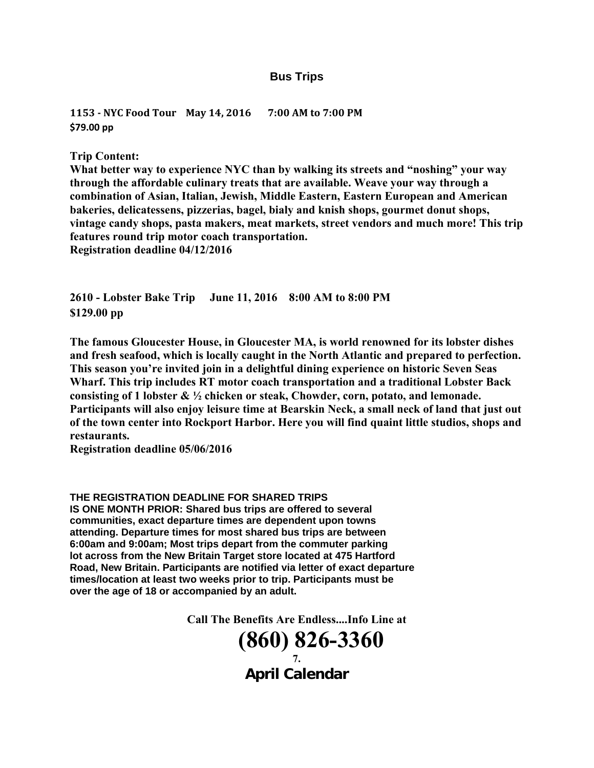### **Bus Trips**

**1153 ‐ NYC Food Tour May 14, 2016 7:00 AM to 7:00 PM \$79.00 pp**

**Trip Content:** 

**What better way to experience NYC than by walking its streets and "noshing" your way through the affordable culinary treats that are available. Weave your way through a combination of Asian, Italian, Jewish, Middle Eastern, Eastern European and American bakeries, delicatessens, pizzerias, bagel, bialy and knish shops, gourmet donut shops, vintage candy shops, pasta makers, meat markets, street vendors and much more! This trip features round trip motor coach transportation. Registration deadline 04/12/2016** 

**2610 - Lobster Bake Trip June 11, 2016 8:00 AM to 8:00 PM \$129.00 pp** 

**The famous Gloucester House, in Gloucester MA, is world renowned for its lobster dishes and fresh seafood, which is locally caught in the North Atlantic and prepared to perfection. This season you're invited join in a delightful dining experience on historic Seven Seas Wharf. This trip includes RT motor coach transportation and a traditional Lobster Back consisting of 1 lobster & ½ chicken or steak, Chowder, corn, potato, and lemonade. Participants will also enjoy leisure time at Bearskin Neck, a small neck of land that just out of the town center into Rockport Harbor. Here you will find quaint little studios, shops and restaurants.** 

**Registration deadline 05/06/2016** 

#### **THE REGISTRATION DEADLINE FOR SHARED TRIPS**

**IS ONE MONTH PRIOR: Shared bus trips are offered to several communities, exact departure times are dependent upon towns attending. Departure times for most shared bus trips are between 6:00am and 9:00am; Most trips depart from the commuter parking lot across from the New Britain Target store located at 475 Hartford Road, New Britain. Participants are notified via letter of exact departure times/location at least two weeks prior to trip. Participants must be over the age of 18 or accompanied by an adult.** 

**Call The Benefits Are Endless....Info Line at** 

18 **(860) 826-3360 7. April Calendar**